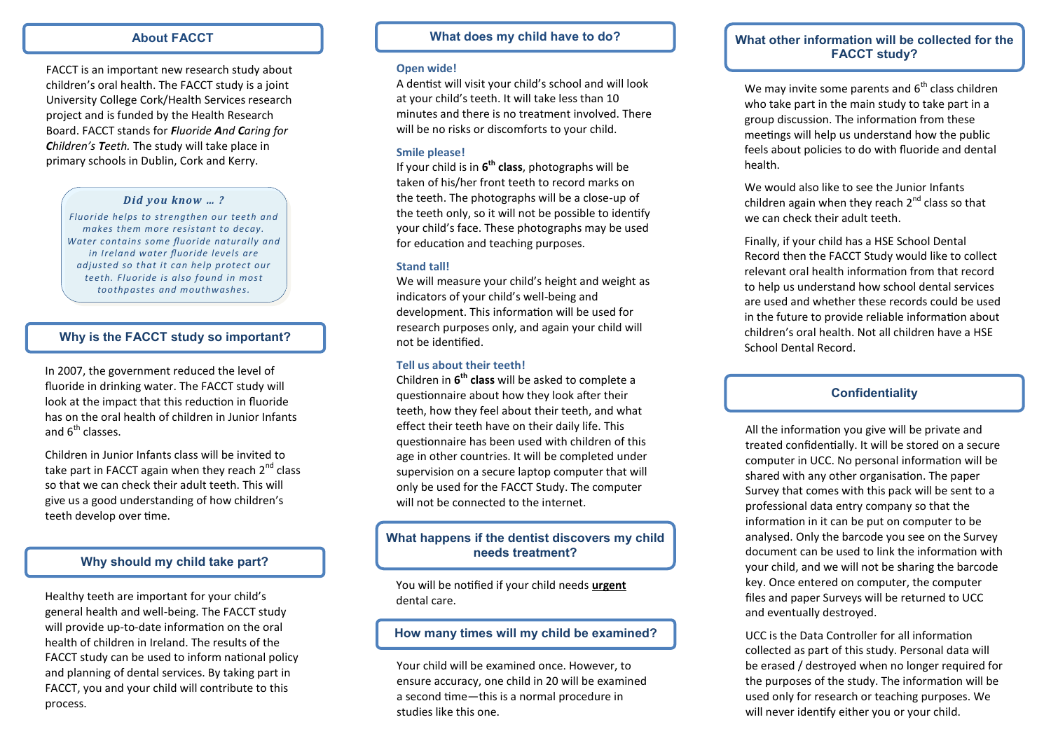## **About FACCT**

FACCT is an important new research study about children's oral health. The FACCT study is a joint University College Cork/Health Services research project and is funded by the Health Research Board. FACCT stands for *Fluoride And Caring for Children's Teeth.* The study will take place in primary schools in Dublin, Cork and Kerry.

#### *Did you know … ?*

*Fluoride helps to strengthen our teeth and makes them more resistant to decay. Water contains some fluoride naturally and in Ireland water fluoride levels are adjusted so that it can help protect our teeth. Fluoride is also found in most toothpastes and mouthwashes.*

## **Why is the FACCT study so important?**

In 2007, the government reduced the level of fluoride in drinking water. The FACCT study will look at the impact that this reduction in fluoride has on the oral health of children in Junior Infants and  $6^{th}$  classes.

Children in Junior Infants class will be invited to take part in FACCT again when they reach  $2<sup>nd</sup>$  class so that we can check their adult teeth. This will give us a good understanding of how children's teeth develop over time.

## **Why should my child take part?**

Healthy teeth are important for your child's general health and well-being. The FACCT study will provide up-to-date information on the oral health of children in Ireland. The results of the FACCT study can be used to inform national policy and planning of dental services. By taking part in FACCT, you and your child will contribute to this process.

## **What does my child have to do?**

#### **Open wide!**

A dentist will visit your child's school and will look at your child's teeth. It will take less than 10 minutes and there is no treatment involved. There will be no risks or discomforts to your child.

#### **Smile please!**

If your child is in **6 th class**, photographs will be taken of his/her front teeth to record marks on the teeth. The photographs will be a close-up of the teeth only, so it will not be possible to identify your child's face. These photographs may be used for education and teaching purposes.

#### **Stand tall!**

We will measure your child's height and weight as indicators of your child's well-being and development. This information will be used for research purposes only, and again your child will not be identified.

#### **Tell us about their teeth!**

Children in **6 th class** will be asked to complete a questionnaire about how they look after their teeth, how they feel about their teeth, and what effect their teeth have on their daily life. This questionnaire has been used with children of this age in other countries. It will be completed under supervision on a secure laptop computer that will only be used for the FACCT Study. The computer will not be connected to the internet.

## **What happens if the dentist discovers my child needs treatment?**

You will be notified if your child needs **urgent**  dental care.

## **How many times will my child be examined?**

Your child will be examined once. However, to ensure accuracy, one child in 20 will be examined a second time—this is a normal procedure in studies like this one.

## **What other information will be collected for the FACCT study?**

We may invite some parents and  $6<sup>th</sup>$  class children who take part in the main study to take part in a group discussion. The information from these meetings will help us understand how the public feels about policies to do with fluoride and dental health.

We would also like to see the Junior Infants children again when they reach  $2<sup>nd</sup>$  class so that we can check their adult teeth.

Finally, if your child has a HSE School Dental Record then the FACCT Study would like to collect relevant oral health information from that record to help us understand how school dental services are used and whether these records could be used in the future to provide reliable information about children's oral health. Not all children have a HSE School Dental Record.

## **Confidentiality**

All the information you give will be private and treated confidentially. It will be stored on a secure computer in UCC. No personal information will be shared with any other organisation. The paper Survey that comes with this pack will be sent to a professional data entry company so that the information in it can be put on computer to be analysed. Only the barcode you see on the Survey document can be used to link the information with your child, and we will not be sharing the barcode key. Once entered on computer, the computer files and paper Surveys will be returned to UCC and eventually destroyed.

UCC is the Data Controller for all information collected as part of this study. Personal data will be erased / destroyed when no longer required for the purposes of the study. The information will be used only for research or teaching purposes. We will never identify either you or your child.